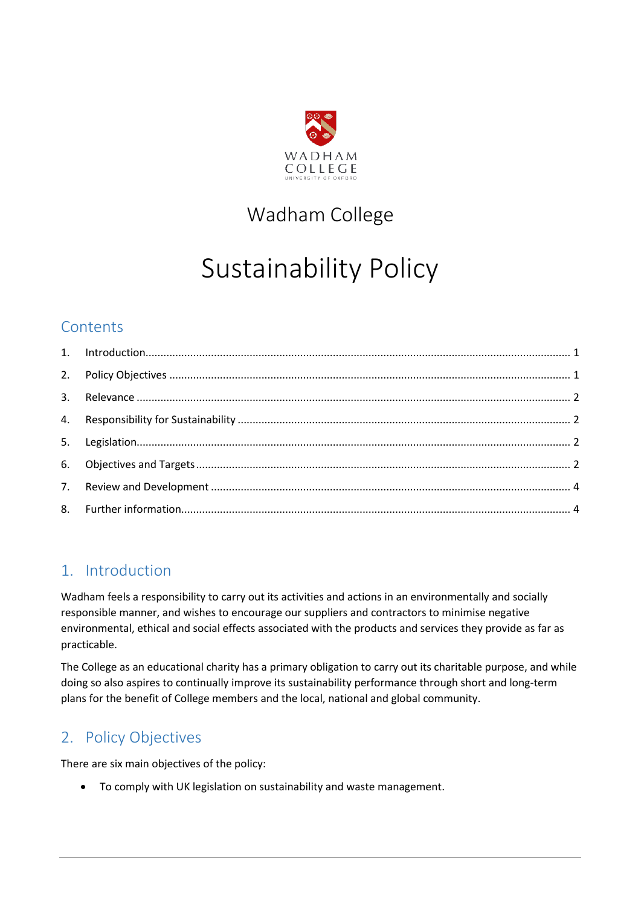

## Wadham College

# Sustainability Policy

## **Contents**

## <span id="page-0-0"></span>1. Introduction

Wadham feels a responsibility to carry out its activities and actions in an environmentally and socially responsible manner, and wishes to encourage our suppliers and contractors to minimise negative environmental, ethical and social effects associated with the products and services they provide as far as practicable.

The College as an educational charity has a primary obligation to carry out its charitable purpose, and while doing so also aspires to continually improve its sustainability performance through short and long-term plans for the benefit of College members and the local, national and global community.

## <span id="page-0-1"></span>2. Policy Objectives

There are six main objectives of the policy:

To comply with UK legislation on sustainability and waste management.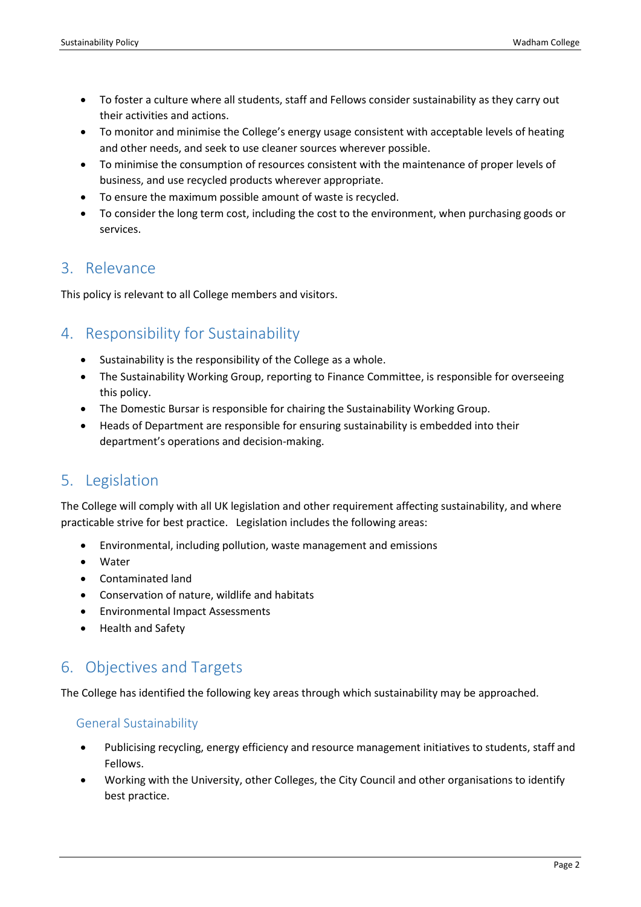- To foster a culture where all students, staff and Fellows consider sustainability as they carry out their activities and actions.
- To monitor and minimise the College's energy usage consistent with acceptable levels of heating and other needs, and seek to use cleaner sources wherever possible.
- To minimise the consumption of resources consistent with the maintenance of proper levels of business, and use recycled products wherever appropriate.
- To ensure the maximum possible amount of waste is recycled.
- To consider the long term cost, including the cost to the environment, when purchasing goods or services.

### <span id="page-1-0"></span>3. Relevance

This policy is relevant to all College members and visitors.

## <span id="page-1-1"></span>4. Responsibility for Sustainability

- Sustainability is the responsibility of the College as a whole.
- The Sustainability Working Group, reporting to Finance Committee, is responsible for overseeing this policy.
- The Domestic Bursar is responsible for chairing the Sustainability Working Group.
- Heads of Department are responsible for ensuring sustainability is embedded into their department's operations and decision-making.

## <span id="page-1-2"></span>5. Legislation

The College will comply with all UK legislation and other requirement affecting sustainability, and where practicable strive for best practice. Legislation includes the following areas:

- Environmental, including pollution, waste management and emissions
- Water
- Contaminated land
- Conservation of nature, wildlife and habitats
- Environmental Impact Assessments
- Health and Safety

## <span id="page-1-3"></span>6. Objectives and Targets

The College has identified the following key areas through which sustainability may be approached.

#### General Sustainability

- Publicising recycling, energy efficiency and resource management initiatives to students, staff and Fellows.
- Working with the University, other Colleges, the City Council and other organisations to identify best practice.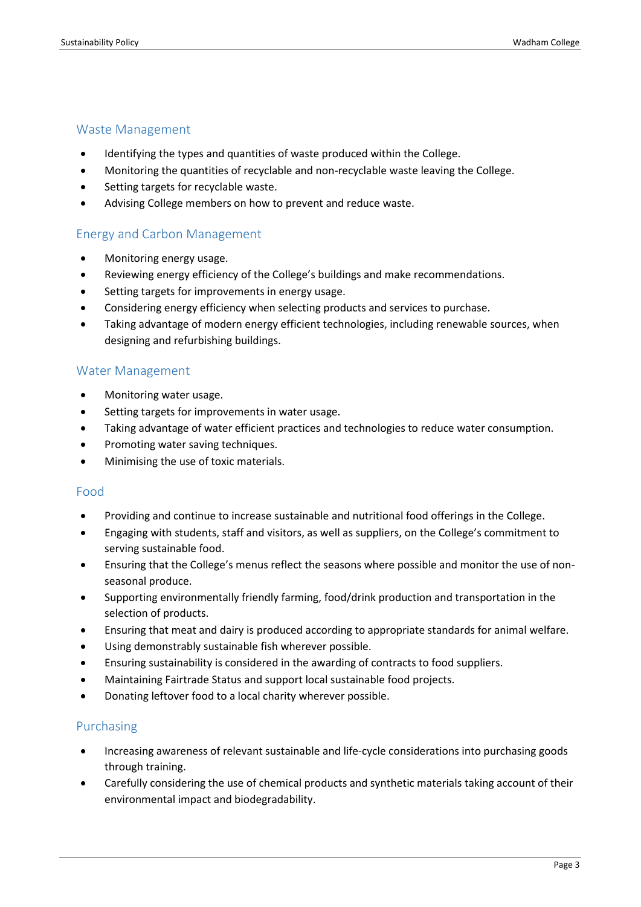#### Waste Management

- Identifying the types and quantities of waste produced within the College.
- Monitoring the quantities of recyclable and non-recyclable waste leaving the College.
- Setting targets for recyclable waste.
- Advising College members on how to prevent and reduce waste.

#### Energy and Carbon Management

- Monitoring energy usage.
- Reviewing energy efficiency of the College's buildings and make recommendations.
- Setting targets for improvements in energy usage.
- Considering energy efficiency when selecting products and services to purchase.
- Taking advantage of modern energy efficient technologies, including renewable sources, when designing and refurbishing buildings.

#### Water Management

- Monitoring water usage.
- Setting targets for improvements in water usage.
- Taking advantage of water efficient practices and technologies to reduce water consumption.
- Promoting water saving techniques.
- Minimising the use of toxic materials.

#### Food

- Providing and continue to increase sustainable and nutritional food offerings in the College.
- Engaging with students, staff and visitors, as well as suppliers, on the College's commitment to serving sustainable food.
- Ensuring that the College's menus reflect the seasons where possible and monitor the use of nonseasonal produce.
- Supporting environmentally friendly farming, food/drink production and transportation in the selection of products.
- Ensuring that meat and dairy is produced according to appropriate standards for animal welfare.
- Using demonstrably sustainable fish wherever possible.
- Ensuring sustainability is considered in the awarding of contracts to food suppliers.
- Maintaining Fairtrade Status and support local sustainable food projects.
- Donating leftover food to a local charity wherever possible.

#### Purchasing

- Increasing awareness of relevant sustainable and life-cycle considerations into purchasing goods through training.
- Carefully considering the use of chemical products and synthetic materials taking account of their environmental impact and biodegradability.